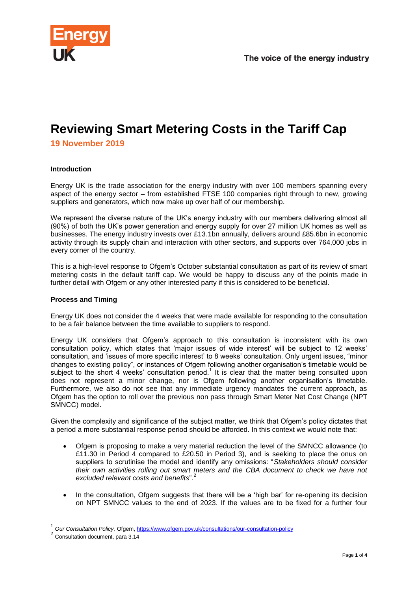

# **Reviewing Smart Metering Costs in the Tariff Cap**

**19 November 2019**

## **Introduction**

Energy UK is the trade association for the energy industry with over 100 members spanning every aspect of the energy sector – from established FTSE 100 companies right through to new, growing suppliers and generators, which now make up over half of our membership.

We represent the diverse nature of the UK's energy industry with our members delivering almost all (90%) of both the UK's power generation and energy supply for over 27 million UK homes as well as businesses. The energy industry invests over £13.1bn annually, delivers around £85.6bn in economic activity through its supply chain and interaction with other sectors, and supports over 764,000 jobs in every corner of the country.

This is a high-level response to Ofgem's October substantial consultation as part of its review of smart metering costs in the default tariff cap. We would be happy to discuss any of the points made in further detail with Ofgem or any other interested party if this is considered to be beneficial.

## **Process and Timing**

Energy UK does not consider the 4 weeks that were made available for responding to the consultation to be a fair balance between the time available to suppliers to respond.

Energy UK considers that Ofgem's approach to this consultation is inconsistent with its own consultation policy, which states that 'major issues of wide interest' will be subject to 12 weeks' consultation, and 'issues of more specific interest' to 8 weeks' consultation. Only urgent issues, "minor changes to existing policy", or instances of Ofgem following another organisation's timetable would be subject to the short 4 weeks' consultation period.<sup>1</sup> It is clear that the matter being consulted upon does not represent a minor change, nor is Ofgem following another organisation's timetable. Furthermore, we also do not see that any immediate urgency mandates the current approach, as Ofgem has the option to roll over the previous non pass through Smart Meter Net Cost Change (NPT SMNCC) model.

Given the complexity and significance of the subject matter, we think that Ofgem's policy dictates that a period a more substantial response period should be afforded. In this context we would note that:

- Ofgem is proposing to make a very material reduction the level of the SMNCC allowance (to £11.30 in Period 4 compared to £20.50 in Period 3), and is seeking to place the onus on suppliers to scrutinise the model and identify any omissions: "*Stakeholders should consider their own activities rolling out smart meters and the CBA document to check we have not excluded relevant costs and benefits*". 2
- In the consultation, Ofgem suggests that there will be a 'high bar' for re-opening its decision on NPT SMNCC values to the end of 2023. If the values are to be fixed for a further four

-

<sup>1</sup> *Our Consultation Policy,* Ofgem,<https://www.ofgem.gov.uk/consultations/our-consultation-policy>

<sup>2</sup> Consultation document, para 3.14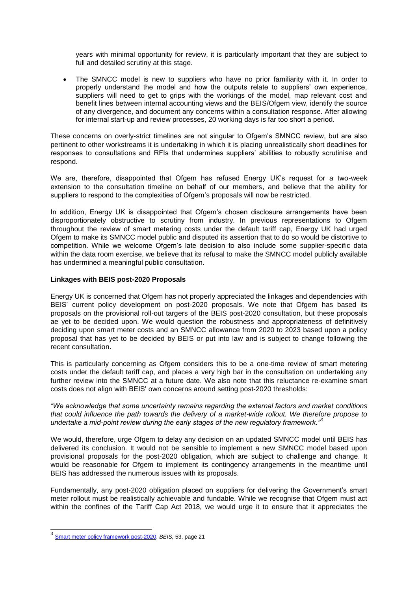years with minimal opportunity for review, it is particularly important that they are subject to full and detailed scrutiny at this stage.

 The SMNCC model is new to suppliers who have no prior familiarity with it. In order to properly understand the model and how the outputs relate to suppliers' own experience, suppliers will need to get to grips with the workings of the model, map relevant cost and benefit lines between internal accounting views and the BEIS/Ofgem view, identify the source of any divergence, and document any concerns within a consultation response. After allowing for internal start-up and review processes, 20 working days is far too short a period.

These concerns on overly-strict timelines are not singular to Ofgem's SMNCC review, but are also pertinent to other workstreams it is undertaking in which it is placing unrealistically short deadlines for responses to consultations and RFIs that undermines suppliers' abilities to robustly scrutinise and respond.

We are, therefore, disappointed that Ofgem has refused Energy UK's request for a two-week extension to the consultation timeline on behalf of our members, and believe that the ability for suppliers to respond to the complexities of Ofgem's proposals will now be restricted.

In addition, Energy UK is disappointed that Ofgem's chosen disclosure arrangements have been disproportionately obstructive to scrutiny from industry. In previous representations to Ofgem throughout the review of smart metering costs under the default tariff cap, Energy UK had urged Ofgem to make its SMNCC model public and disputed its assertion that to do so would be distortive to competition. While we welcome Ofgem's late decision to also include some supplier-specific data within the data room exercise, we believe that its refusal to make the SMNCC model publicly available has undermined a meaningful public consultation.

### **Linkages with BEIS post-2020 Proposals**

Energy UK is concerned that Ofgem has not properly appreciated the linkages and dependencies with BEIS' current policy development on post-2020 proposals. We note that Ofgem has based its proposals on the provisional roll-out targers of the BEIS post-2020 consultation, but these proposals ae yet to be decided upon. We would question the robustness and appropriateness of definitively deciding upon smart meter costs and an SMNCC allowance from 2020 to 2023 based upon a policy proposal that has yet to be decided by BEIS or put into law and is subject to change following the recent consultation.

This is particularly concerning as Ofgem considers this to be a one-time review of smart metering costs under the default tariff cap, and places a very high bar in the consultation on undertaking any further review into the SMNCC at a future date. We also note that this reluctance re-examine smart costs does not align with BEIS' own concerns around setting post-2020 thresholds:

*"We acknowledge that some uncertainty remains regarding the external factors and market conditions that could influence the path towards the delivery of a market-wide rollout. We therefore propose to undertake a mid-point review during the early stages of the new regulatory framework."<sup>3</sup>*

We would, therefore, urge Ofgem to delay any decision on an updated SMNCC model until BEIS has delivered its conclusion. It would not be sensible to implement a new SMNCC model based upon provisional proposals for the post-2020 obligation, which are subject to challenge and change. It would be reasonable for Ofgem to implement its contingency arrangements in the meantime until BEIS has addressed the numerous issues with its proposals.

Fundamentally, any post-2020 obligation placed on suppliers for delivering the Government's smart meter rollout must be realistically achievable and fundable. While we recognise that Ofgem must act within the confines of the Tariff Cap Act 2018, we would urge it to ensure that it appreciates the

 3 [Smart meter policy framework post-2020,](https://www.gov.uk/government/consultations/smart-meter-policy-framework-post-2020) *BEIS,* 53, page 21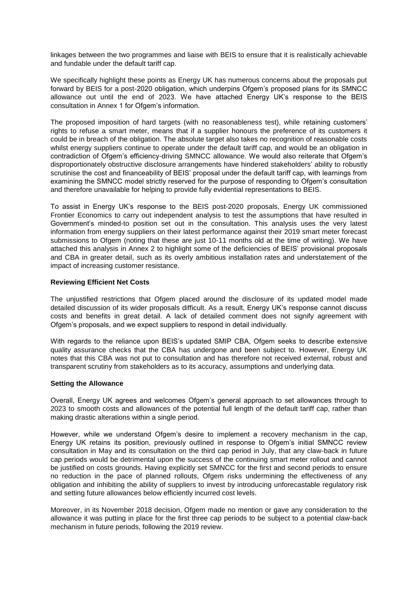linkages between the two programmes and liaise with BEIS to ensure that it is realistically achievable and fundable under the default tariff cap.

We specifically highlight these points as Energy UK has numerous concerns about the proposals put forward by BEIS for a post-2020 obligation, which underpins Ofgem's proposed plans for its SMNCC allowance out until the end of 2023. We have attached Energy UK's response to the BEIS consultation in Annex 1 for Ofgem's information.

The proposed imposition of hard targets (with no reasonableness test), while retaining customers' rights to refuse a smart meter, means that if a supplier honours the preference of its customers it could be in breach of the obligation. The absolute target also takes no recognition of reasonable costs whilst energy suppliers continue to operate under the default tariff cap, and would be an obligation in contradiction of Ofgem's efficiency-driving SMNCC allowance. We would also reiterate that Ofgem's disproportionately obstructive disclosure arrangements have hindered stakeholders' ability to robustly scrutinise the cost and financeability of BEIS' proposal under the default tariff cap, with learnings from examining the SMNCC model strictly reserved for the purpose of responding to Ofgem's consultation and therefore unavailable for helping to provide fully evidential representations to BEIS.

To assist in Energy UK's response to the BEIS post-2020 proposals, Energy UK commissioned Frontier Economics to carry out independent analysis to test the assumptions that have resulted in Government's minded-to position set out in the consultation. This analysis uses the very latest information from energy suppliers on their latest performance against their 2019 smart meter forecast submissions to Ofgem (noting that these are just 10-11 months old at the time of writing). We have attached this analysis in Annex 2 to highlight some of the deficiencies of BEIS' provisional proposals and CBA in greater detail, such as its overly ambitious installation rates and understatement of the impact of increasing customer resistance.

## **Reviewing Efficient Net Costs**

The unjustified restrictions that Ofgem placed around the disclosure of its updated model made detailed discussion of its wider proposals difficult. As a result, Energy UK's response cannot discuss costs and benefits in great detail. A lack of detailed comment does not signify agreement with Ofgem's proposals, and we expect suppliers to respond in detail individually.

With regards to the reliance upon BEIS's updated SMIP CBA, Ofgem seeks to describe extensive quality assurance checks that the CBA has undergone and been subject to. However, Energy UK notes that this CBA was not put to consultation and has therefore not received external, robust and transparent scrutiny from stakeholders as to its accuracy, assumptions and underlying data.

#### **Setting the Allowance**

Overall, Energy UK agrees and welcomes Ofgem's general approach to set allowances through to 2023 to smooth costs and allowances of the potential full length of the default tariff cap, rather than making drastic alterations within a single period.

However, while we understand Ofgem's desire to implement a recovery mechanism in the cap, Energy UK retains its position, previously outlined in response to Ofgem's initial SMNCC review consultation in May and its consultation on the third cap period in July, that any claw-back in future cap periods would be detrimental upon the success of the continuing smart meter rollout and cannot be justified on costs grounds. Having explicitly set SMNCC for the first and second periods to ensure no reduction in the pace of planned rollouts, Ofgem risks undermining the effectiveness of any obligation and inhibiting the ability of suppliers to invest by introducing unforecastable regulatory risk and setting future allowances below efficiently incurred cost levels.

Moreover, in its November 2018 decision, Ofgem made no mention or gave any consideration to the allowance it was putting in place for the first three cap periods to be subject to a potential claw-back mechanism in future periods, following the 2019 review.